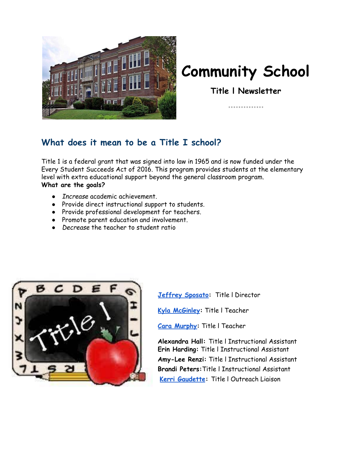

# **Community School**

**Title l Newsletter**

.............

### **What does it mean to be a Title I school?**

Title 1 is a federal grant that was signed into law in 1965 and is now funded under the Every Student Succeeds Act of 2016. This program provides students at the elementary level with extra educational support beyond the general classroom program. **What are the goals?**

- *Increase* academic achievement.
- Provide direct instructional support to students.
- Provide professional development for teachers.
- Promote parent education and involvement.
- *Decrease* the teacher to student ratio



**[Jeffrey](mailto:jsposato@naschools.net) Sposato:** Title l Director

**Kyla [McGinley](mailto:kmcginley@naschools.net):** Title l Teacher

**Cara [Murphy:](mailto:cmurphy@naschools.net)** Title l Teacher

**Alexandra Hall:** Title l Instructional Assistant **Erin Harding:** Title l Instructional Assistant **Amy-Lee Renzi:** Title l Instructional Assistant **Brandi Peters:**Title l Instructional Assistant **Kerri [Gaudette](mailto: kgaudette@naschools.net):** Title l Outreach Liaison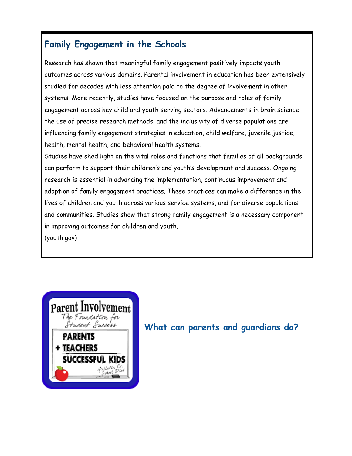## **Family Engagement in the Schools**

Research has shown that meaningful family engagement positively impacts youth outcomes across various domains. Parental involvement in education has been extensively studied for decades with less attention paid to the degree of involvement in other systems. More recently, studies have focused on the purpose and roles of family engagement across key child and youth serving sectors. Advancements in brain science, the use of precise research methods, and the inclusivity of diverse populations are influencing family engagement strategies in education, child welfare, juvenile justice, health, mental health, and behavioral health systems.

Studies have shed light on the vital roles and functions that families of all backgrounds can perform to support their children's and youth's development and success. Ongoing research is essential in advancing the implementation, continuous improvement and adoption of family engagement practices. These practices can make a difference in the lives of children and youth across various service systems, and for diverse populations and communities. Studies show that strong family engagement is a necessary component in improving outcomes for children and youth. (youth.gov)



## **What can parents and guardians do?**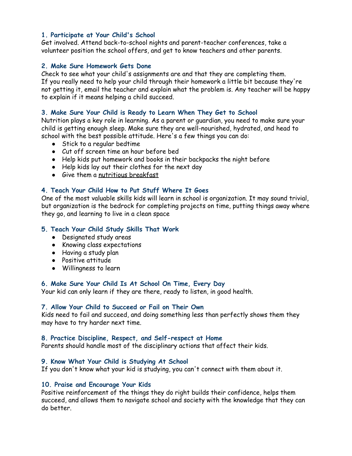#### **1. Participate at Your Child's School**

Get involved. Attend back-to-school nights and parent-teacher conferences, take a volunteer position the school offers, and get to know teachers and other parents.

#### **2. Make Sure Homework Gets Done**

Check to see what your child's assignments are and that they are completing them. If you really need to help your child through their homework a little bit because they're not getting it, email the teacher and explain what the problem is. Any teacher will be happy to explain if it means helping a child succeed.

#### **3. Make Sure Your Child is Ready to Learn When They Get to School**

Nutrition plays a key role in learning. As a parent or guardian, you need to make sure your child is getting enough sleep. Make sure they are well-nourished, hydrated, and head to school with the best possible attitude. Here's a few things you can do:

- Stick to a regular bedtime
- Cut off screen time an hour before bed
- Help kids put homework and books in their backpacks the night before
- Help kids lay out their clothes for the next day
- Give them a nutritious [breakfast](https://kidshealth.org/en/kids/breakfast.html)

#### **4. Teach Your Child How to Put Stuff Where It Goes**

One of the most valuable skills kids will learn in school is organization. It may sound trivial, but organization is the bedrock for completing projects on time, putting things away where they go, and learning to live in a clean space

#### **5. Teach Your Child Study Skills That Work**

- Designated study areas
- Knowing class expectations
- Having a study plan
- Positive attitude
- Willingness to learn

#### **6. Make Sure Your Child Is At School On Time, Every Day**

Your kid can only learn if they are there, ready to listen, in good health.

#### **7. Allow Your Child to Succeed or Fail on Their Own**

Kids need to fail and succeed, and doing something less than perfectly shows them they may have to try harder next time.

#### **8. Practice Discipline, Respect, and Self-respect at Home**

Parents should handle most of the disciplinary actions that affect their kids.

#### **9. Know What Your Child is Studying At School**

If you don't know what your kid is studying, you can't connect with them about it.

#### **10. Praise and Encourage Your Kids**

Positive reinforcement of the things they do right builds their confidence, helps them succeed, and allows them to navigate school and society with the knowledge that they can do better.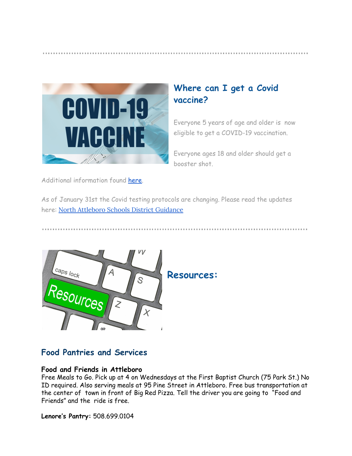

## **Where can I get a Covid vaccine?**

Everyone 5 years of age and older is now eligible to get a COVID-19 vaccination.

Everyone ages 18 and older should get a booster shot.

Additional information found [here.](https://www.vaccines.gov/)

As of January 31st the Covid testing protocols are changing. Please read the updates here: North Attleboro Schools District [Guidance](https://sites.google.com/naschools.net/coronavirus/na-district-guidance?authuser=0)



### **Food Pantries and Services**

### **Food and Friends in Attleboro**

Free Meals to Go. Pick up at 4 on Wednesdays at the First Baptist Church (75 Park St.) No ID required. Also serving meals at 95 Pine Street in Attleboro. Free bus transportation at the center of town in front of Big Red Pizza. Tell the driver you are going to "Food and Friends" and the ride is free.

**Lenore's Pantry:** 508.699.0104